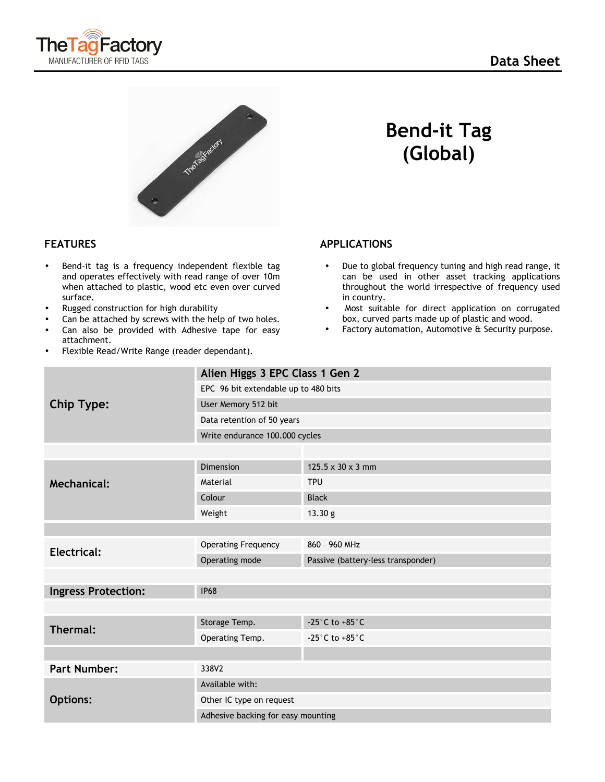



- Bend-it tag is a frequency independent flexible tag and operates effectively with read range of over 10m when attached to plastic, wood etc even over curved surface.
- Rugged construction for high durability
- Can be attached by screws with the help of two holes.
- Can also be provided with Adhesive tape for easy attachment.
- Flexible Read/Write Range (reader dependant).

 **Bend-it Tag (Global)** 

## **FEATURES** APPLICATIONS

- Due to global frequency tuning and high read range, it can be used in other asset tracking applications throughout the world irrespective of frequency used in country.
- Most suitable for direct application on corrugated box, curved parts made up of plastic and wood.
- Factory automation, Automotive & Security purpose.

| <b>Chip Type:</b>          | Alien Higgs 3 EPC Class 1 Gen 2      |                                      |
|----------------------------|--------------------------------------|--------------------------------------|
|                            | EPC 96 bit extendable up to 480 bits |                                      |
|                            | User Memory 512 bit                  |                                      |
|                            | Data retention of 50 years           |                                      |
|                            | Write endurance 100.000 cycles       |                                      |
|                            |                                      |                                      |
| <b>Mechanical:</b>         | Dimension                            | $125.5 \times 30 \times 3$ mm        |
|                            | Material                             | <b>TPU</b>                           |
|                            | Colour                               | <b>Black</b>                         |
|                            | Weight                               | 13.30 g                              |
|                            |                                      |                                      |
| Electrical:                | <b>Operating Frequency</b>           | 860 - 960 MHz                        |
|                            | Operating mode                       | Passive (battery-less transponder)   |
|                            |                                      |                                      |
| <b>Ingress Protection:</b> | <b>IP68</b>                          |                                      |
|                            |                                      |                                      |
| Thermal:                   | Storage Temp.                        | -25 $^{\circ}$ C to +85 $^{\circ}$ C |
|                            | Operating Temp.                      | -25 $^{\circ}$ C to +85 $^{\circ}$ C |
|                            |                                      |                                      |
| <b>Part Number:</b>        | 338V2                                |                                      |
| <b>Options:</b>            | Available with:                      |                                      |
|                            | Other IC type on request             |                                      |
|                            | Adhesive backing for easy mounting   |                                      |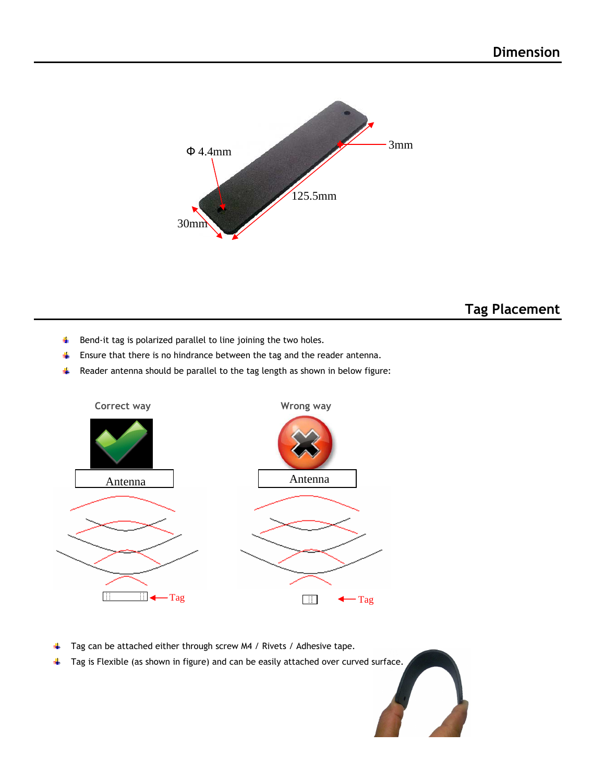

## **Tag Placement**

- 4 Bend-it tag is polarized parallel to line joining the two holes.
- $\frac{1}{2}$ Ensure that there is no hindrance between the tag and the reader antenna.
- ₩. Reader antenna should be parallel to the tag length as shown in below figure:



- Tag can be attached either through screw M4 / Rivets / Adhesive tape. ٠į.
- $\ddot{\phantom{a}}$ Tag is Flexible (as shown in figure) and can be easily attached over curved surface.